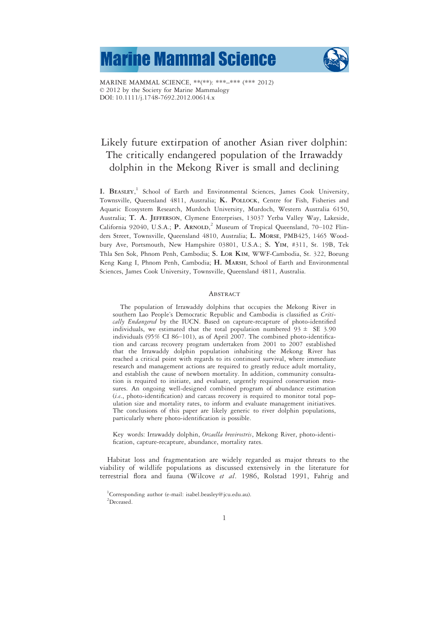



MARINE MAMMAL SCIENCE, \*\*(\*\*): \*\*\*–\*\*\* (\*\*\* 2012) © 2012 by the Society for Marine Mammalogy DOI: 10.1111/j.1748-7692.2012.00614.x

# Likely future extirpation of another Asian river dolphin: The critically endangered population of the Irrawaddy dolphin in the Mekong River is small and declining

I. BEASLEY, <sup>1</sup> School of Earth and Environmental Sciences, James Cook University, Townsville, Queensland 4811, Australia; K. POLLOCK, Centre for Fish, Fisheries and Aquatic Ecosystem Research, Murdoch University, Murdoch, Western Australia 6150, Australia; T. A. JEFFERSON, Clymene Enterprises, 13037 Yerba Valley Way, Lakeside, California 92040, U.S.A.; P. ARNOLD,<sup>2</sup> Museum of Tropical Queensland, 70-102 Flinders Street, Townsville, Queensland 4810, Australia; L. MORSE, PMB425, 1465 Woodbury Ave, Portsmouth, New Hampshire 03801, U.S.A.; S. YIM, #311, St. 19B, Tek Thla Sen Sok, Phnom Penh, Cambodia; S. LOR KIM, WWF-Cambodia, St. 322, Boeung Keng Kang I, Phnom Penh, Cambodia; H. MARSH, School of Earth and Environmental Sciences, James Cook University, Townsville, Queensland 4811, Australia.

#### **ABSTRACT**

The population of Irrawaddy dolphins that occupies the Mekong River in southern Lao People's Democratic Republic and Cambodia is classified as Critically Endangered by the IUCN. Based on capture-recapture of photo-identified individuals, we estimated that the total population numbered  $93 \pm \text{SE} 3.90$ individuals (95% CI 86–101), as of April 2007. The combined photo-identification and carcass recovery program undertaken from 2001 to 2007 established that the Irrawaddy dolphin population inhabiting the Mekong River has reached a critical point with regards to its continued survival, where immediate research and management actions are required to greatly reduce adult mortality, and establish the cause of newborn mortality. In addition, community consultation is required to initiate, and evaluate, urgently required conservation measures. An ongoing well-designed combined program of abundance estimation (i.e., photo-identification) and carcass recovery is required to monitor total population size and mortality rates, to inform and evaluate management initiatives. The conclusions of this paper are likely generic to river dolphin populations, particularly where photo-identification is possible.

Key words: Irrawaddy dolphin, Orcaella brevirostris, Mekong River, photo-identification, capture-recapture, abundance, mortality rates.

Habitat loss and fragmentation are widely regarded as major threats to the viability of wildlife populations as discussed extensively in the literature for terrestrial flora and fauna (Wilcove et al. 1986, Rolstad 1991, Fahrig and

<sup>&</sup>lt;sup>1</sup>Corresponding author (e-mail: isabel.beasley@jcu.edu.au). 2 Deceased.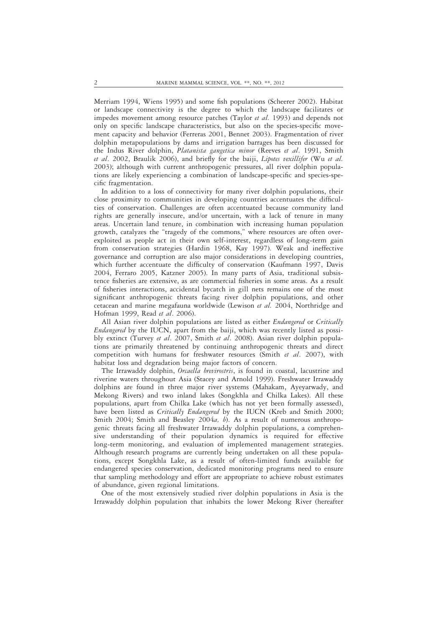Merriam 1994, Wiens 1995) and some fish populations (Scheerer 2002). Habitat or landscape connectivity is the degree to which the landscape facilitates or impedes movement among resource patches (Taylor et al. 1993) and depends not only on specific landscape characteristics, but also on the species-specific movement capacity and behavior (Ferreras 2001, Bennet 2003). Fragmentation of river dolphin metapopulations by dams and irrigation barrages has been discussed for the Indus River dolphin, Platanista gangetica minor (Reeves et al. 1991, Smith et al. 2002, Braulik 2006), and briefly for the baiji, Lipotes vexillifer (Wu et al. 2003); although with current anthropogenic pressures, all river dolphin populations are likely experiencing a combination of landscape-specific and species-specific fragmentation.

In addition to a loss of connectivity for many river dolphin populations, their close proximity to communities in developing countries accentuates the difficulties of conservation. Challenges are often accentuated because community land rights are generally insecure, and/or uncertain, with a lack of tenure in many areas. Uncertain land tenure, in combination with increasing human population growth, catalyzes the "tragedy of the commons," where resources are often overexploited as people act in their own self-interest, regardless of long-term gain from conservation strategies (Hardin 1968, Kay 1997). Weak and ineffective governance and corruption are also major considerations in developing countries, which further accentuate the difficulty of conservation (Kaufmann 1997, Davis 2004, Ferraro 2005, Katzner 2005). In many parts of Asia, traditional subsistence fisheries are extensive, as are commercial fisheries in some areas. As a result of fisheries interactions, accidental bycatch in gill nets remains one of the most significant anthropogenic threats facing river dolphin populations, and other cetacean and marine megafauna worldwide (Lewison et al. 2004, Northridge and Hofman 1999, Read et al. 2006).

All Asian river dolphin populations are listed as either Endangered or Critically Endangered by the IUCN, apart from the baiji, which was recently listed as possibly extinct (Turvey et al. 2007, Smith et al. 2008). Asian river dolphin populations are primarily threatened by continuing anthropogenic threats and direct competition with humans for freshwater resources (Smith et al. 2007), with habitat loss and degradation being major factors of concern.

The Irrawaddy dolphin, Orcaella brevirostris, is found in coastal, lacustrine and riverine waters throughout Asia (Stacey and Arnold 1999). Freshwater Irrawaddy dolphins are found in three major river systems (Mahakam, Ayeyarwady, and Mekong Rivers) and two inland lakes (Songkhla and Chilka Lakes). All these populations, apart from Chilka Lake (which has not yet been formally assessed), have been listed as Critically Endangered by the IUCN (Kreb and Smith 2000; Smith 2004; Smith and Beasley 2004a, b). As a result of numerous anthropogenic threats facing all freshwater Irrawaddy dolphin populations, a comprehensive understanding of their population dynamics is required for effective long-term monitoring, and evaluation of implemented management strategies. Although research programs are currently being undertaken on all these populations, except Songkhla Lake, as a result of often-limited funds available for endangered species conservation, dedicated monitoring programs need to ensure that sampling methodology and effort are appropriate to achieve robust estimates of abundance, given regional limitations.

One of the most extensively studied river dolphin populations in Asia is the Irrawaddy dolphin population that inhabits the lower Mekong River (hereafter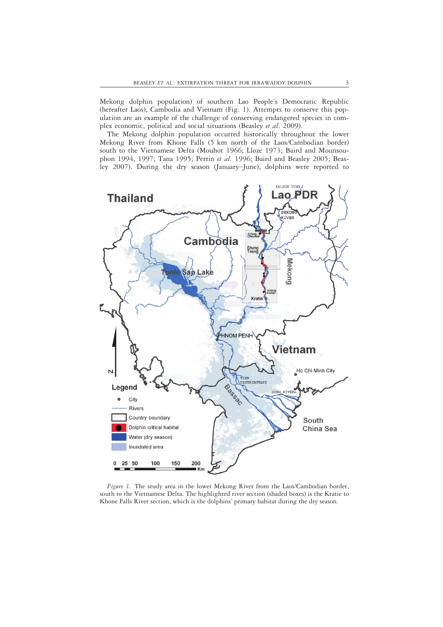Mekong dolphin population) of southern Lao People's Democratic Republic (hereafter Laos), Cambodia and Vietnam (Fig. 1). Attempts to conserve this population are an example of the challenge of conserving endangered species in complex economic, political and social situations (Beasley et al. 2009).

The Mekong dolphin population occurred historically throughout the lower Mekong River from Khone Falls (5 km north of the Laos/Cambodian border) south to the Vietnamese Delta (Mouhot 1966; Lloze 1973; Baird and Mounsouphon 1994, 1997; Tana 1995; Perrin et al. 1996; Baird and Beasley 2005; Beasley 2007). During the dry season (January–June), dolphins were reported to



Figure 1. The study area in the lower Mekong River from the Laos/Cambodian border, south to the Vietnamese Delta. The highlighted river section (shaded boxes) is the Kratie to Khone Falls River section, which is the dolphins' primary habitat during the dry season.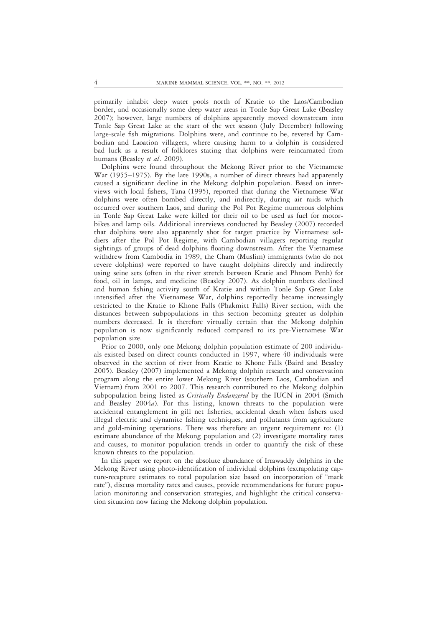primarily inhabit deep water pools north of Kratie to the Laos/Cambodian border, and occasionally some deep water areas in Tonle Sap Great Lake (Beasley 2007); however, large numbers of dolphins apparently moved downstream into Tonle Sap Great Lake at the start of the wet season (July–December) following large-scale fish migrations. Dolphins were, and continue to be, revered by Cambodian and Laoation villagers, where causing harm to a dolphin is considered bad luck as a result of folklores stating that dolphins were reincarnated from humans (Beasley et al. 2009).

Dolphins were found throughout the Mekong River prior to the Vietnamese War (1955–1975). By the late 1990s, a number of direct threats had apparently caused a significant decline in the Mekong dolphin population. Based on interviews with local fishers, Tana (1995), reported that during the Vietnamese War dolphins were often bombed directly, and indirectly, during air raids which occurred over southern Laos, and during the Pol Pot Regime numerous dolphins in Tonle Sap Great Lake were killed for their oil to be used as fuel for motorbikes and lamp oils. Additional interviews conducted by Beasley (2007) recorded that dolphins were also apparently shot for target practice by Vietnamese soldiers after the Pol Pot Regime, with Cambodian villagers reporting regular sightings of groups of dead dolphins floating downstream. After the Vietnamese withdrew from Cambodia in 1989, the Cham (Muslim) immigrants (who do not revere dolphins) were reported to have caught dolphins directly and indirectly using seine sets (often in the river stretch between Kratie and Phnom Penh) for food, oil in lamps, and medicine (Beasley 2007). As dolphin numbers declined and human fishing activity south of Kratie and within Tonle Sap Great Lake intensified after the Vietnamese War, dolphins reportedly became increasingly restricted to the Kratie to Khone Falls (Phakmitt Falls) River section, with the distances between subpopulations in this section becoming greater as dolphin numbers decreased. It is therefore virtually certain that the Mekong dolphin population is now significantly reduced compared to its pre-Vietnamese War population size.

Prior to 2000, only one Mekong dolphin population estimate of 200 individuals existed based on direct counts conducted in 1997, where 40 individuals were observed in the section of river from Kratie to Khone Falls (Baird and Beasley 2005). Beasley (2007) implemented a Mekong dolphin research and conservation program along the entire lower Mekong River (southern Laos, Cambodian and Vietnam) from 2001 to 2007. This research contributed to the Mekong dolphin subpopulation being listed as *Critically Endangered* by the IUCN in 2004 (Smith and Beasley  $2004a$ ). For this listing, known threats to the population were accidental entanglement in gill net fisheries, accidental death when fishers used illegal electric and dynamite fishing techniques, and pollutants from agriculture and gold-mining operations. There was therefore an urgent requirement to: (1) estimate abundance of the Mekong population and (2) investigate mortality rates and causes, to monitor population trends in order to quantify the risk of these known threats to the population.

In this paper we report on the absolute abundance of Irrawaddy dolphins in the Mekong River using photo-identification of individual dolphins (extrapolating capture-recapture estimates to total population size based on incorporation of "mark rate"), discuss mortality rates and causes, provide recommendations for future population monitoring and conservation strategies, and highlight the critical conservation situation now facing the Mekong dolphin population.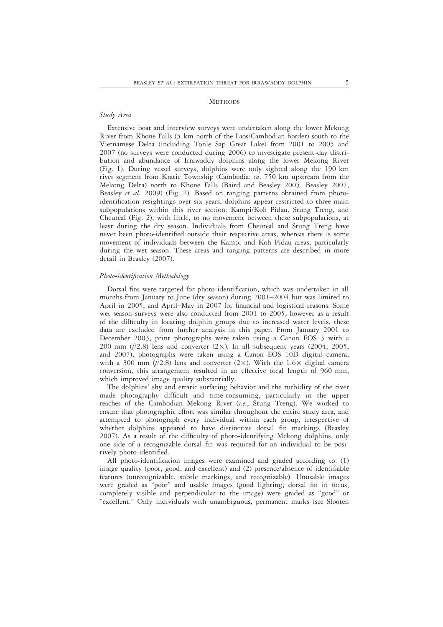#### **METHODS**

## Study Area

Extensive boat and interview surveys were undertaken along the lower Mekong River from Khone Falls (5 km north of the Laos/Cambodian border) south to the Vietnamese Delta (including Tonle Sap Great Lake) from 2001 to 2005 and 2007 (no surveys were conducted during 2006) to investigate present-day distribution and abundance of Irrawaddy dolphins along the lower Mekong River (Fig. 1). During vessel surveys, dolphins were only sighted along the 190 km river segment from Kratie Township (Cambodia; ca. 750 km upstream from the Mekong Delta) north to Khone Falls (Baird and Beasley 2005, Beasley 2007, Beasley et al. 2009) (Fig. 2). Based on ranging patterns obtained from photoidentification resightings over six years, dolphins appear restricted to three main subpopulations within this river section: Kampi/Koh Pidau, Stung Treng, and Cheuteal (Fig. 2), with little, to no movement between these subpopulations, at least during the dry season. Individuals from Cheuteal and Stung Treng have never been photo-identified outside their respective areas, whereas there is some movement of individuals between the Kampi and Koh Pidau areas, particularly during the wet season. These areas and ranging patterns are described in more detail in Beasley (2007).

# Photo-identification Methodology

Dorsal fins were targeted for photo-identification, which was undertaken in all months from January to June (dry season) during 2001–2004 but was limited to April in 2005, and April–May in 2007 for financial and logistical reasons. Some wet season surveys were also conducted from 2001 to 2005, however as a result of the difficulty in locating dolphin groups due to increased water levels, these data are excluded from further analysis in this paper. From January 2001 to December 2003, print photographs were taken using a Canon EOS 3 with a 200 mm ( $f/2.8$ ) lens and converter ( $2 \times$ ). In all subsequent years ( $2004$ ,  $2005$ , and 2007), photographs were taken using a Canon EOS 10D digital camera, with a 300 mm ( $f/2.8$ ) lens and converter (2×). With the 1.6× digital camera conversion, this arrangement resulted in an effective focal length of 960 mm, which improved image quality substantially.

The dolphins' shy and erratic surfacing behavior and the turbidity of the river made photography difficult and time-consuming, particularly in the upper reaches of the Cambodian Mekong River (i.e., Stung Treng). We worked to ensure that photographic effort was similar throughout the entire study area, and attempted to photograph every individual within each group, irrespective of whether dolphins appeared to have distinctive dorsal fin markings (Beasley 2007). As a result of the difficulty of photo-identifying Mekong dolphins, only one side of a recognizable dorsal fin was required for an individual to be positively photo-identified.

All photo-identification images were examined and graded according to: (1) image quality (poor, good, and excellent) and (2) presence/absence of identifiable features (unrecognizable, subtle markings, and recognizable). Unusable images were graded as "poor" and usable images (good lighting; dorsal fin in focus, completely visible and perpendicular to the image) were graded as "good" or "excellent." Only individuals with unambiguous, permanent marks (see Slooten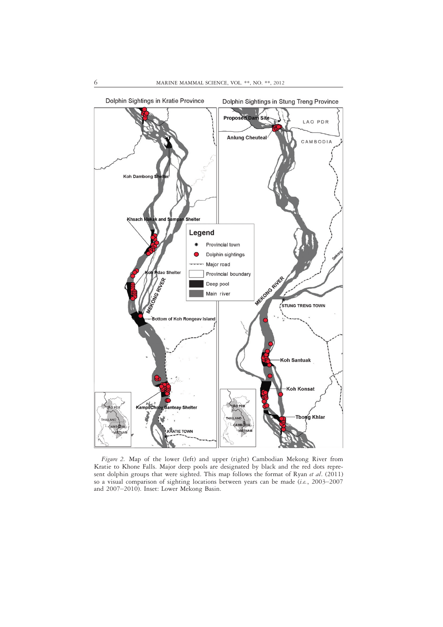

Figure 2. Map of the lower (left) and upper (right) Cambodian Mekong River from Kratie to Khone Falls. Major deep pools are designated by black and the red dots represent dolphin groups that were sighted. This map follows the format of Ryan et al. (2011) so a visual comparison of sighting locations between years can be made (i.e., 2003-2007 and 2007–2010). Inset: Lower Mekong Basin.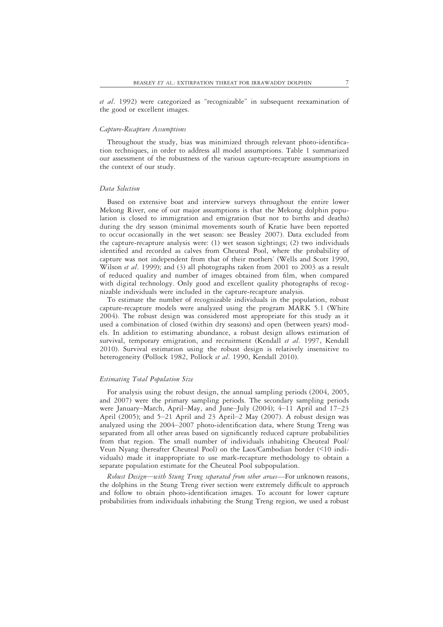et al. 1992) were categorized as "recognizable" in subsequent reexamination of the good or excellent images.

#### Capture-Recapture Assumptions

Throughout the study, bias was minimized through relevant photo-identification techniques, in order to address all model assumptions. Table 1 summarized our assessment of the robustness of the various capture-recapture assumptions in the context of our study.

#### Data Selection

Based on extensive boat and interview surveys throughout the entire lower Mekong River, one of our major assumptions is that the Mekong dolphin population is closed to immigration and emigration (but not to births and deaths) during the dry season (minimal movements south of Kratie have been reported to occur occasionally in the wet season: see Beasley 2007). Data excluded from the capture-recapture analysis were: (1) wet season sightings; (2) two individuals identified and recorded as calves from Cheuteal Pool, where the probability of capture was not independent from that of their mothers' (Wells and Scott 1990, Wilson *et al.* 1999); and (3) all photographs taken from 2001 to 2003 as a result of reduced quality and number of images obtained from film, when compared with digital technology. Only good and excellent quality photographs of recognizable individuals were included in the capture-recapture analysis.

To estimate the number of recognizable individuals in the population, robust capture-recapture models were analyzed using the program MARK 5.1 (White 2004). The robust design was considered most appropriate for this study as it used a combination of closed (within dry seasons) and open (between years) models. In addition to estimating abundance, a robust design allows estimation of survival, temporary emigration, and recruitment (Kendall et al. 1997, Kendall 2010). Survival estimation using the robust design is relatively insensitive to heterogeneity (Pollock 1982, Pollock et al. 1990, Kendall 2010).

## Estimating Total Population Size

For analysis using the robust design, the annual sampling periods (2004, 2005, and 2007) were the primary sampling periods. The secondary sampling periods were January–March, April–May, and June–July (2004); 4–11 April and 17–23 April (2005); and 5–21 April and 23 April–2 May (2007). A robust design was analyzed using the 2004–2007 photo-identification data, where Stung Treng was separated from all other areas based on significantly reduced capture probabilities from that region. The small number of individuals inhabiting Cheuteal Pool/ Veun Nyang (hereafter Cheuteal Pool) on the Laos/Cambodian border (<10 individuals) made it inappropriate to use mark-recapture methodology to obtain a separate population estimate for the Cheuteal Pool subpopulation.

Robust Design—with Stung Treng separated from other areas—For unknown reasons, the dolphins in the Stung Treng river section were extremely difficult to approach and follow to obtain photo-identification images. To account for lower capture probabilities from individuals inhabiting the Stung Treng region, we used a robust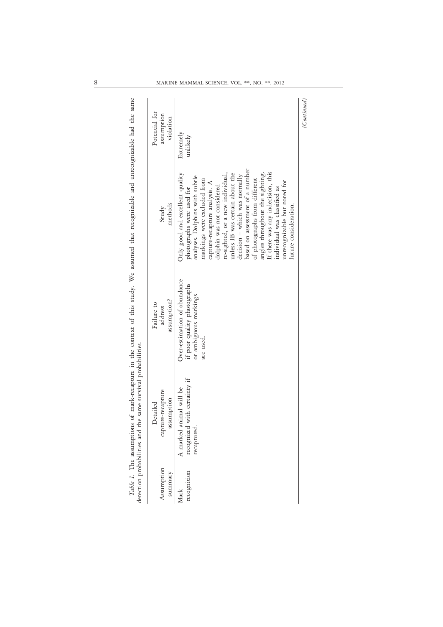| Assumption<br>summary | capture-recapture<br>assumption<br>Detailed                            | assumption?<br>Failure to<br>address                                                              | methods<br>Study                                                                                                                                                                                                                                                                                                                                                                                                                                                                                                                          | Potential for<br>assumption<br>violation |
|-----------------------|------------------------------------------------------------------------|---------------------------------------------------------------------------------------------------|-------------------------------------------------------------------------------------------------------------------------------------------------------------------------------------------------------------------------------------------------------------------------------------------------------------------------------------------------------------------------------------------------------------------------------------------------------------------------------------------------------------------------------------------|------------------------------------------|
| recognition<br>Mark   | recognized with certainty if<br>A marked animal will be<br>recaptured. | Over-estimation of abundance<br>if poor quality photographs<br>or ambiguous markings<br>are used. | based on assessment of a number<br>angles throughout the sighting.<br>If there was any indecision, this<br>Only good and excellent quality<br>re-sighted, or a new individual,<br>unless IB was certain about the<br>analyses. Dolphins with subtle<br>decision – which was normally<br>of photographs from different<br>markings were excluded from<br>unrecognizable but noted for<br>capture-recapture analysis. A<br>dolphin was not considered<br>photographs were used for<br>individual was classified as<br>future consideration. | Extremely<br>unlikely                    |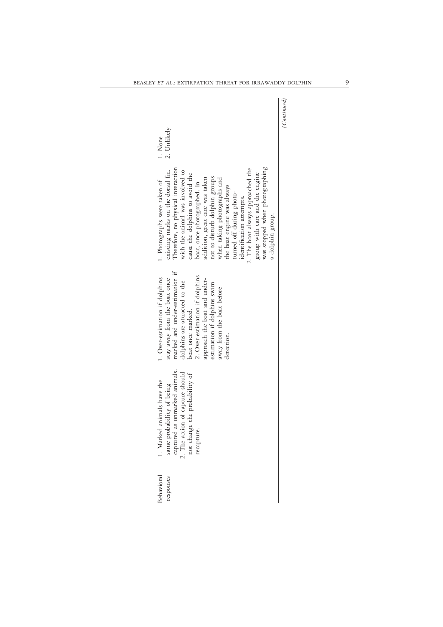| 2. Unlikely<br>1. None                                                                                                                                                                                                                                                                                                                                                                                                                                                                                                            | (Continued) |
|-----------------------------------------------------------------------------------------------------------------------------------------------------------------------------------------------------------------------------------------------------------------------------------------------------------------------------------------------------------------------------------------------------------------------------------------------------------------------------------------------------------------------------------|-------------|
| was stopped when photographing<br>Therefore, no physical interaction<br>2. The boat always approached the<br>existing marks on the dorsal fin.<br>with the animal was involved to<br>group with care and the engine<br>cause the dolphins to avoid the<br>not to disturb dolphin groups<br>addition, great care was taken<br>when taking photographs and<br>1. Photographs were taken of<br>boat, once photographed. In<br>the boat engine was always<br>turned off during photo-<br>identification attempts.<br>a dolphin group. |             |
| marked and under-estimation if<br>2. Over-estimation if dolphins<br>1. Over-estimation if dolphins<br>approach the boat and under-<br>stay away from the boat once<br>dolphins are attracted to the<br>estimation if dolphins swim<br>away from the boat before<br>boat once marked.<br>detection.                                                                                                                                                                                                                                |             |
| same probability of being<br>captured as unmarked animals.<br>2. The action of capture should<br>not change the probability of<br>1. Marked animals have the<br>recapture.                                                                                                                                                                                                                                                                                                                                                        |             |
| Behavioral<br>responses                                                                                                                                                                                                                                                                                                                                                                                                                                                                                                           |             |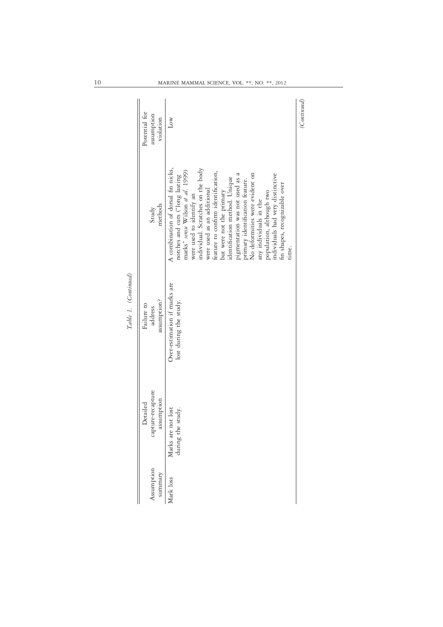|                      | Potential for<br>assumption<br>violation    | Low                                                                                                                                                                                                                                                                                                                                                                                                                                                                                                                                                    | (Continued) |
|----------------------|---------------------------------------------|--------------------------------------------------------------------------------------------------------------------------------------------------------------------------------------------------------------------------------------------------------------------------------------------------------------------------------------------------------------------------------------------------------------------------------------------------------------------------------------------------------------------------------------------------------|-------------|
|                      | methods<br>Study                            | A combination of dorsal fin nicks,<br>individual. Scratches on the body<br>marks" sensu Wilson et al. 1999)<br>feature to confirm identification,<br>pigmentation was not used as a<br>No deformities were evident on<br>individuals had very distinctive<br>notches and cuts ("long lasting<br>identification method. Unique<br>primary identification feature.<br>fin shapes, recognizable over<br>were used as an additional<br>but were not the primary<br>population, although two<br>were used to identify an<br>any individuals in the<br>time. |             |
| Table 1. (Continued) | assumption?<br>Failure to<br>address        | Over-estimation if marks are<br>lost during the study.                                                                                                                                                                                                                                                                                                                                                                                                                                                                                                 |             |
|                      | capture-recapture<br>assumption<br>Detailed | Marks are not lost<br>study.<br>during the                                                                                                                                                                                                                                                                                                                                                                                                                                                                                                             |             |
|                      | Assumption<br>summary                       | Mark loss                                                                                                                                                                                                                                                                                                                                                                                                                                                                                                                                              |             |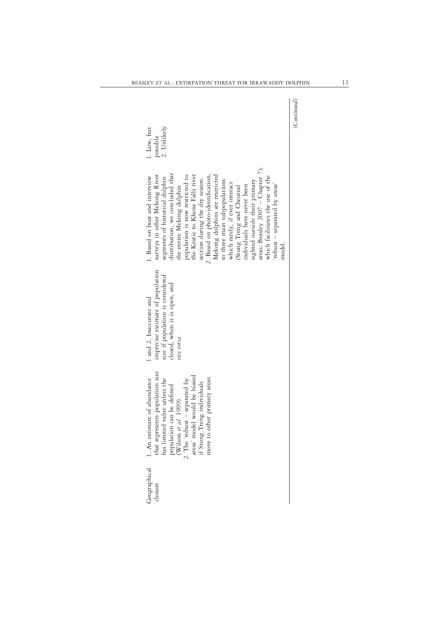|                                                                                                                                                                                                                                                                                                                                                                                                                                                                                                                                                                                                                                     | (Continued) |
|-------------------------------------------------------------------------------------------------------------------------------------------------------------------------------------------------------------------------------------------------------------------------------------------------------------------------------------------------------------------------------------------------------------------------------------------------------------------------------------------------------------------------------------------------------------------------------------------------------------------------------------|-------------|
| possible<br>2. Unlikely<br>Low, but                                                                                                                                                                                                                                                                                                                                                                                                                                                                                                                                                                                                 |             |
| areas: Beasley $2007$ - Chapter 7);<br>distribution, we concluded that<br>the Kratie to Khone Falls river<br>population is now restricted to<br>Mekong dolphins are restricted<br>surveys in other Mekong River<br>2. Based on photo-identification,<br>which facilitates the use of the<br>1. Based on boat and interview<br>segments of historical dolphin<br>section during the dry season.<br>to three main subpopulations<br>sighted outside their primary<br>which rarely, if ever interact<br>robust - separated by areas'<br>individuals have never been<br>(Stung Treng and Cheuteal<br>the entire Mekong dolphin<br>model |             |
| imprecise estimate of population<br>size if population is considered<br>closed, when it is open, and<br>1 and 2. Inaccurate and<br>vice versa.                                                                                                                                                                                                                                                                                                                                                                                                                                                                                      |             |
| that represents population size<br>has limited value unless the<br>population can be defined<br>(Wilson <i>et al.</i> 1999)<br>2. The 'robust – separated by<br>areas' model would be biased<br>1. An estimate of abundance<br>other primary areas<br>if Stung Treng individuals<br>move to                                                                                                                                                                                                                                                                                                                                         |             |
| Geographical<br>closure                                                                                                                                                                                                                                                                                                                                                                                                                                                                                                                                                                                                             |             |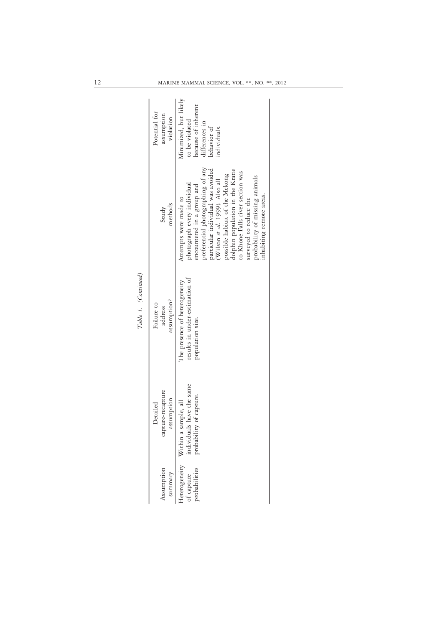|                      | Potential for<br>assumption<br>violation    | Minimized, but likely<br>because of inherent<br>to be violated<br>differences in<br>behavior of<br>ndividuals.                                                                                                                                                                                                                                                                                   |
|----------------------|---------------------------------------------|--------------------------------------------------------------------------------------------------------------------------------------------------------------------------------------------------------------------------------------------------------------------------------------------------------------------------------------------------------------------------------------------------|
|                      | methods<br>Study                            | preferential photographing of any<br>particular individual was avoided<br>dolphin population in the Kratie<br>to Khone Falls river section was<br>possible habitat of the Mekong<br>probability of missing animals<br>(Wilson et al. 1999). Also all<br>photograph every individual<br>encountered in a group and<br>inhabiting remote areas.<br>Attempts were made to<br>surveyed to reduce the |
| Table 1. (Continued) | assumption?<br>Failure to<br>address        | results in under-estimation of<br>The presence of heterogeneity<br>population size.                                                                                                                                                                                                                                                                                                              |
|                      | capture-recapture<br>assumption<br>Detailed | Heterogeneity Within a sample, all<br>of capture individuals have the same<br>probabilities probability of capture.                                                                                                                                                                                                                                                                              |
|                      | <b>Assumption</b><br>summary                |                                                                                                                                                                                                                                                                                                                                                                                                  |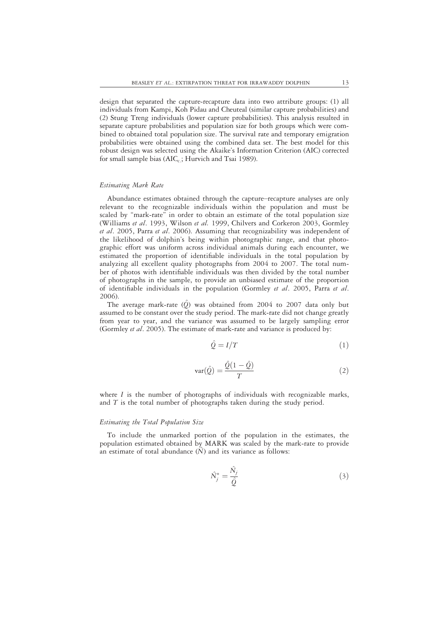design that separated the capture-recapture data into two attribute groups: (1) all individuals from Kampi, Koh Pidau and Cheuteal (similar capture probabilities) and (2) Stung Treng individuals (lower capture probabilities). This analysis resulted in separate capture probabilities and population size for both groups which were combined to obtained total population size. The survival rate and temporary emigration probabilities were obtained using the combined data set. The best model for this robust design was selected using the Akaike's Information Criterion (AIC) corrected for small sample bias  $(AIC_c; Hurvich and Tsai 1989)$ .

#### Estimating Mark Rate

Abundance estimates obtained through the capture–recapture analyses are only relevant to the recognizable individuals within the population and must be scaled by "mark-rate" in order to obtain an estimate of the total population size (Williams et al. 1993, Wilson et al. 1999, Chilvers and Corkeron 2003, Gormley et al. 2005, Parra et al. 2006). Assuming that recognizability was independent of the likelihood of dolphin's being within photographic range, and that photographic effort was uniform across individual animals during each encounter, we estimated the proportion of identifiable individuals in the total population by analyzing all excellent quality photographs from 2004 to 2007. The total number of photos with identifiable individuals was then divided by the total number of photographs in the sample, to provide an unbiased estimate of the proportion of identifiable individuals in the population (Gormley et al. 2005, Parra et al. 2006).

The average mark-rate  $(\hat{Q})$  was obtained from 2004 to 2007 data only but assumed to be constant over the study period. The mark-rate did not change greatly from year to year, and the variance was assumed to be largely sampling error (Gormley et al. 2005). The estimate of mark-rate and variance is produced by:

$$
\hat{Q} = I/T \tag{1}
$$

$$
var(\hat{Q}) = \frac{\hat{Q}(1-\hat{Q})}{T}
$$
 (2)

where  $I$  is the number of photographs of individuals with recognizable marks, and  $T$  is the total number of photographs taken during the study period.

# Estimating the Total Population Size

To include the unmarked portion of the population in the estimates, the population estimated obtained by MARK was scaled by the mark-rate to provide an estimate of total abundance  $(N)$  and its variance as follows:

$$
\hat{N}_j^* = \frac{\hat{N}_j}{\hat{Q}}\tag{3}
$$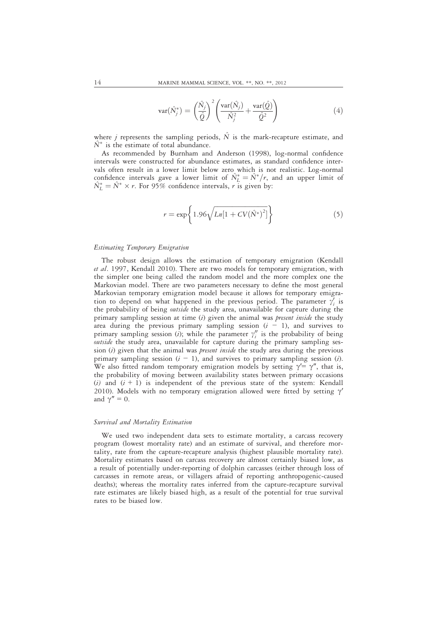$$
\text{var}(\hat{N}_j^*) = \left(\frac{\hat{N}_j}{\hat{Q}}\right)^2 \left(\frac{\text{var}(\hat{N}_j)}{\hat{N}_j^2} + \frac{\text{var}(\hat{Q})}{\hat{Q}^2}\right) \tag{4}
$$

where *j* represents the sampling periods,  $\hat{N}$  is the mark-recapture estimate, and  $\hat{N}^*$  is the estimate of total abundance.

As recommended by Burnham and Anderson (1998), log-normal confidence intervals were constructed for abundance estimates, as standard confidence intervals often result in a lower limit below zero which is not realistic. Log-normal confidence intervals gave a lower limit of  $\hat{N}_L^* = \hat{N}^*/r$ , and an upper limit of  $\hat{N}_L^* = \hat{N}^* \times r$ . For 95% confidence intervals, r is given by:

$$
r = \exp\left\{1.96\sqrt{Ln[1 + CV(\hat{N}^*)^2]}\right\}
$$
 (5)

# Estimating Temporary Emigration

The robust design allows the estimation of temporary emigration (Kendall et al. 1997, Kendall 2010). There are two models for temporary emigration, with the simpler one being called the random model and the more complex one the Markovian model. There are two parameters necessary to define the most general Markovian temporary emigration model because it allows for temporary emigration to depend on what happened in the previous period. The parameter  $\gamma_i'$  is the probability of being *outside* the study area, unavailable for capture during the primary sampling session at time (i) given the animal was *present inside* the study area during the previous primary sampling session  $(i - 1)$ , and survives to primary sampling session (*i*); while the parameter  $\gamma''_i$  is the probability of being *outside* the study area, unavailable for capture during the primary sampling session  $(i)$  given that the animal was *present inside* the study area during the previous primary sampling session  $(i - 1)$ , and survives to primary sampling session  $(i)$ . We also fitted random temporary emigration models by setting  $\gamma'=\gamma''$ , that is, the probability of moving between availability states between primary occasions (i) and  $(i + 1)$  is independent of the previous state of the system: Kendall 2010). Models with no temporary emigration allowed were fitted by setting  $\gamma'$ and  $\gamma'' = 0$ .

# Survival and Mortality Estimation

We used two independent data sets to estimate mortality, a carcass recovery program (lowest mortality rate) and an estimate of survival, and therefore mortality, rate from the capture-recapture analysis (highest plausible mortality rate). Mortality estimates based on carcass recovery are almost certainly biased low, as a result of potentially under-reporting of dolphin carcasses (either through loss of carcasses in remote areas, or villagers afraid of reporting anthropogenic-caused deaths); whereas the mortality rates inferred from the capture-recapture survival rate estimates are likely biased high, as a result of the potential for true survival rates to be biased low.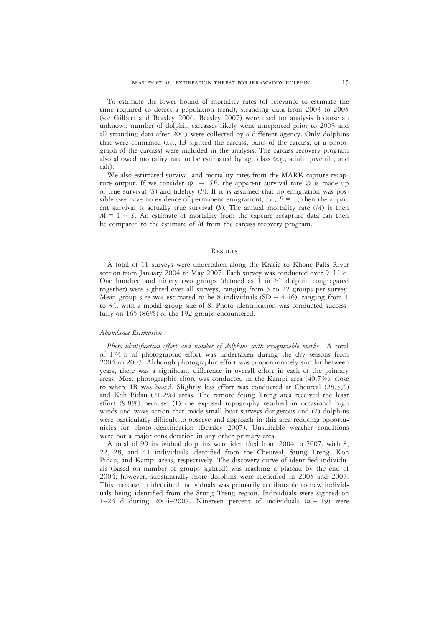To estimate the lower bound of mortality rates (of relevance to estimate the time required to detect a population trend), stranding data from 2003 to 2005 (see Gilbert and Beasley 2006, Beasley 2007) were used for analysis because an unknown number of dolphin carcasses likely went unreported prior to 2003 and all stranding data after 2005 were collected by a different agency. Only dolphins that were confirmed (i.e., IB sighted the carcass, parts of the carcass, or a photograph of the carcass) were included in the analysis. The carcass recovery program also allowed mortality rate to be estimated by age class (e.g., adult, juvenile, and calf).

We also estimated survival and mortality rates from the MARK capture-recapture output. If we consider  $\varphi = SF$ , the apparent survival rate  $\varphi$  is made up of true survival  $(S)$  and fidelity  $(F)$ . If it is assumed that no emigration was possible (we have no evidence of permanent emigration), *i.e.*,  $F = 1$ , then the apparent survival is actually true survival (S). The annual mortality rate (M) is then  $M = 1 - S$ . An estimate of mortality from the capture recapture data can then be compared to the estimate of M from the carcass recovery program.

## Results

A total of 11 surveys were undertaken along the Kratie to Khone Falls River section from January 2004 to May 2007. Each survey was conducted over 9–11 d. One hundred and ninety two groups (defined as 1 or >1 dolphin congregated together) were sighted over all surveys, ranging from 5 to 22 groups per survey. Mean group size was estimated to be 8 individuals  $(SD = 4.46)$ , ranging from 1 to 34, with a modal group size of 8. Photo-identification was conducted successfully on 165 (86%) of the 192 groups encountered.

## Abundance Estimation

Photo-identification effort and number of dolphins with recognizable marks-A total of 174 h of photographic effort was undertaken during the dry seasons from 2004 to 2007. Although photographic effort was proportionately similar between years, there was a significant difference in overall effort in each of the primary areas. Most photographic effort was conducted in the Kampi area (40.7%), close to where IB was based. Slightly less effort was conducted at Cheuteal (28.3%) and Koh Pidau (21.2%) areas. The remote Stung Treng area received the least effort (9.8%) because: (1) the exposed topography resulted in occasional high winds and wave action that made small boat surveys dangerous and (2) dolphins were particularly difficult to observe and approach in this area reducing opportunities for photo-identification (Beasley 2007). Unsuitable weather conditions were not a major consideration in any other primary area.

A total of 99 individual dolphins were identified from 2004 to 2007, with 8, 22, 28, and 41 individuals identified from the Cheuteal, Stung Treng, Koh Pidau, and Kampi areas, respectively. The discovery curve of identified individuals (based on number of groups sighted) was reaching a plateau by the end of 2004; however, substantially more dolphins were identified in 2005 and 2007. This increase in identified individuals was primarily attributable to new individuals being identified from the Stung Treng region. Individuals were sighted on 1–24 d during 2004–2007. Nineteen percent of individuals  $(n = 19)$  were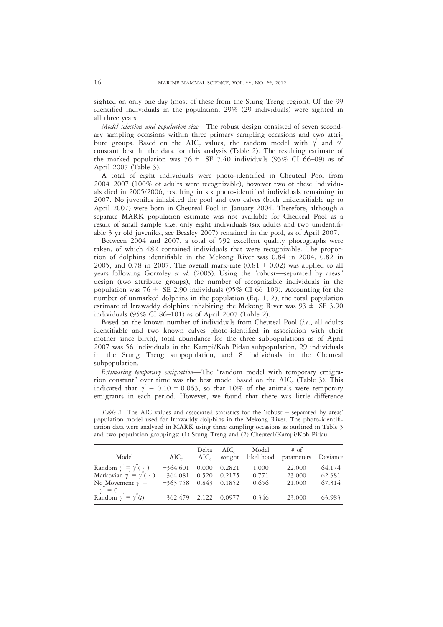sighted on only one day (most of these from the Stung Treng region). Of the 99 identified individuals in the population, 29% (29 individuals) were sighted in all three years.

Model selection and population size—The robust design consisted of seven secondary sampling occasions within three primary sampling occasions and two attribute groups. Based on the AIC<sub>c</sub> values, the random model with  $\gamma'$  and  $\gamma''$ constant best fit the data for this analysis (Table 2). The resulting estimate of the marked population was  $76 \pm$  SE 7.40 individuals (95% CI 66–09) as of April 2007 (Table 3).

A total of eight individuals were photo-identified in Cheuteal Pool from 2004–2007 (100% of adults were recognizable), however two of these individuals died in 2005/2006, resulting in six photo-identified individuals remaining in 2007. No juveniles inhabited the pool and two calves (both unidentifiable up to April 2007) were born in Cheuteal Pool in January 2004. Therefore, although a separate MARK population estimate was not available for Cheuteal Pool as a result of small sample size, only eight individuals (six adults and two unidentifiable 3 yr old juveniles; see Beasley 2007) remained in the pool, as of April 2007.

Between 2004 and 2007, a total of 592 excellent quality photographs were taken, of which 482 contained individuals that were recognizable. The proportion of dolphins identifiable in the Mekong River was 0.84 in 2004, 0.82 in 2005, and 0.78 in 2007. The overall mark-rate  $(0.81 \pm 0.02)$  was applied to all years following Gormley et al. (2005). Using the "robust—separated by areas" design (two attribute groups), the number of recognizable individuals in the population was 76  $\pm$  SE 2.90 individuals (95% CI 66–109). Accounting for the number of unmarked dolphins in the population (Eq. 1, 2), the total population estimate of Irrawaddy dolphins inhabiting the Mekong River was  $93 \pm \text{SE} 3.90$ individuals (95% CI 86–101) as of April 2007 (Table 2).

Based on the known number of individuals from Cheuteal Pool (i.e., all adults identifiable and two known calves photo-identified in association with their mother since birth), total abundance for the three subpopulations as of April 2007 was 56 individuals in the Kampi/Koh Pidau subpopulation, 29 individuals in the Stung Treng subpopulation, and 8 individuals in the Cheuteal subpopulation.

Estimating temporary emigration—The "random model with temporary emigration constant" over time was the best model based on the  $AIC_c$  (Table 3). This indicated that  $\gamma' = 0.10 \pm 0.063$ , so that 10% of the animals were temporary emigrants in each period. However, we found that there was little difference

Table 2. The AIC values and associated statistics for the 'robust – separated by areas' population model used for Irrawaddy dolphins in the Mekong River. The photo-identification data were analyzed in MARK using three sampling occasions as outlined in Table 3 and two population groupings: (1) Stung Treng and (2) Cheuteal/Kampi/Koh Pidau.

| Model                                                                 | $AIC_{c}$                | Delta<br>$AIC_{c}$ | $AIC_c$<br>weight | Model<br>likelihood | $#$ of<br>parameters | Deviance         |
|-----------------------------------------------------------------------|--------------------------|--------------------|-------------------|---------------------|----------------------|------------------|
| Random $\gamma = \gamma(\cdot)$<br>Markovian $\gamma = \gamma(\cdot)$ | $-364.601$<br>$-364.081$ | 0.000<br>0.520     | 0.2821<br>0.2175  | 1.000<br>0.771      | 22,000<br>23,000     | 64.174<br>62.381 |
| No Movement $\gamma$ =<br>$\gamma = 0$<br>Random $\gamma = \gamma(t)$ | $-363.758$<br>$-362.479$ | 0.843<br>2.122     | 0.1852<br>0.0977  | 0.656<br>0.346      | 21.000<br>23,000     | 67.314<br>63.983 |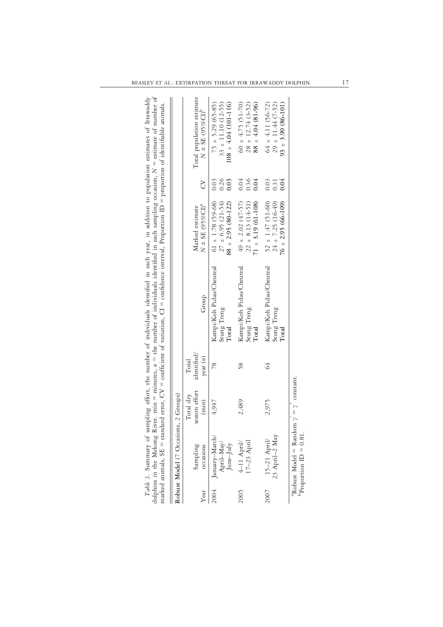|      | marked animals, $SE = sta$                                                                  |                                        |                                    | ndard error, CV = coefficient of variation, CI = confidence interval, Proportion ID = proportion of identifiable animals. |                                                                         |                      |                                                                            |
|------|---------------------------------------------------------------------------------------------|----------------------------------------|------------------------------------|---------------------------------------------------------------------------------------------------------------------------|-------------------------------------------------------------------------|----------------------|----------------------------------------------------------------------------|
|      | Robust Model (7 Occasions, 2 Groups)                                                        |                                        |                                    |                                                                                                                           |                                                                         |                      |                                                                            |
| Year | Sampling<br>occasions                                                                       | season effort<br>Total dry<br>$(\min)$ | identified/<br>year $(n)$<br>Total | Group                                                                                                                     | $N \pm SE$ (95% $CD^a$<br>Marked estimate                               | $\Im$                | Total population estimate<br>$N \pm$ SE (95%CI) <sup>b</sup>               |
| 2004 | January-March/<br>April–May/<br>June-July                                                   | 4.947                                  | 78                                 | Kampi/Koh Pidau/Cheuteal<br>Stung Treng<br>Total                                                                          | $61 \pm 1.78$ (59-68)<br>27 ± 6.95 (21-54)<br>$88 \pm 2.95(80 - 122)$   | 0.03<br>0.26<br>0.03 | $75 + 5.29(65 - 85)$<br>$33 \pm 11.10$ (12-55)<br>$108 \pm 4.04$ (101-116) |
| 2005 | $4-11$ April/<br>$17-23$ April                                                              | 2,489                                  | 58                                 | Kampi/Koh Pidau/Cheuteal<br>Stung Treng<br>Total                                                                          | $49 \pm 2.02(47-57)$<br>$22 \pm 8.13(14-51)$<br>$71 \pm 3.19$ (61-108)  | 0.36<br>0.04<br>0.04 | $60 + 4.75(51-70)$<br>$28 \pm 12.74(3-52)$<br>$88 \pm 4.04 (81-96)$        |
| 2007 | 23 April-2 May<br>$15-21$ April/                                                            | 2,975                                  | 64                                 | Kampi/Koh Pidau/Cheuteal<br>Stung Treng<br>Total                                                                          | $52 \pm 1.47$ (51-60)<br>$24 \pm 7.25$ (16-49)<br>$76 \pm 2.95(66-109)$ | 0.03<br>0.04<br>0.31 | $64 \pm 4.11 (56-72)$<br>$29 \pm 11.44$ (7-52)<br>$93 \pm 3.90(86-101)$    |
|      | <sup>a</sup> Robust Model = Random $\gamma = \gamma$ constant.<br>$P$ Proportion ID = 0.81. |                                        |                                    |                                                                                                                           |                                                                         |                      |                                                                            |

Table 3. Summary of sampling effort, the number of individuals identified in each year, in addition to population estimates of Irrawaddy dolphins in the Mekong River. min  $=$  minutes,  $n =$  the number of individuals identified in each sampling occasion,  $\mathsf{z}% _{0}\!\left( t\right) \mathsf{z}_{0}\!\left( t\right)$  $=$  estimate of number of marked animals, SE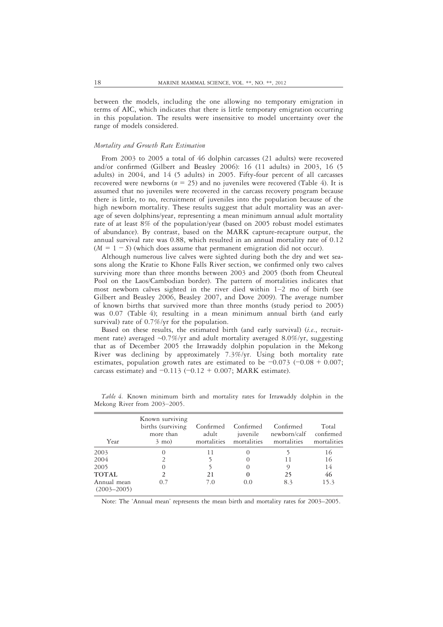between the models, including the one allowing no temporary emigration in terms of AIC, which indicates that there is little temporary emigration occurring in this population. The results were insensitive to model uncertainty over the range of models considered.

# Mortality and Growth Rate Estimation

From 2003 to 2005 a total of 46 dolphin carcasses (21 adults) were recovered and/or confirmed (Gilbert and Beasley 2006): 16 (11 adults) in 2003, 16 (5 adults) in 2004, and 14 (5 adults) in 2005. Fifty-four percent of all carcasses recovered were newborns ( $n = 25$ ) and no juveniles were recovered (Table 4). It is assumed that no juveniles were recovered in the carcass recovery program because there is little, to no, recruitment of juveniles into the population because of the high newborn mortality. These results suggest that adult mortality was an average of seven dolphins/year, representing a mean minimum annual adult mortality rate of at least 8% of the population/year (based on 2005 robust model estimates of abundance). By contrast, based on the MARK capture-recapture output, the annual survival rate was 0.88, which resulted in an annual mortality rate of 0.12  $(M = 1 - S)$  (which does assume that permanent emigration did not occur).

Although numerous live calves were sighted during both the dry and wet seasons along the Kratie to Khone Falls River section, we confirmed only two calves surviving more than three months between 2003 and 2005 (both from Cheuteal Pool on the Laos/Cambodian border). The pattern of mortalities indicates that most newborn calves sighted in the river died within 1–2 mo of birth (see Gilbert and Beasley 2006, Beasley 2007, and Dove 2009). The average number of known births that survived more than three months (study period to 2005) was 0.07 (Table 4); resulting in a mean minimum annual birth (and early survival) rate of 0.7%/yr for the population.

Based on these results, the estimated birth (and early survival) (i.e., recruitment rate) averaged  $\sim 0.7\%/yr$  and adult mortality averaged 8.0%/yr, suggesting that as of December 2005 the Irrawaddy dolphin population in the Mekong River was declining by approximately 7.3%/yr. Using both mortality rate estimates, population growth rates are estimated to be −0.073 (−0.08 + 0.007; carcass estimate) and  $-0.113$  ( $-0.12 + 0.007$ ; MARK estimate).

| Year                           | Known surviving<br>births (surviving)<br>more than<br>$3 \text{ mo}$ | adult<br>mortalities | Confirmed Confirmed<br>juvenile<br>mortalities | Confirmed<br>newborn/calf<br>mortalities | Total<br>confirmed<br>mortalities |
|--------------------------------|----------------------------------------------------------------------|----------------------|------------------------------------------------|------------------------------------------|-----------------------------------|
| 2003                           | $\left( \right)$                                                     | 11                   |                                                |                                          | 16                                |
| 2004                           |                                                                      |                      | $\cup$                                         |                                          | 16                                |
| 2005                           |                                                                      |                      | $\left( \right)$                               |                                          | 14                                |
| <b>TOTAL</b>                   |                                                                      | 21                   | $\theta$                                       | 25                                       | 46                                |
| Annual mean<br>$(2003 - 2005)$ | 0.7                                                                  | 7.0                  | 0.0                                            | 8.3                                      | 15.3                              |

Table 4. Known minimum birth and mortality rates for Irrawaddy dolphin in the Mekong River from 2003–2005.

Note: The 'Annual mean' represents the mean birth and mortality rates for 2003–2005.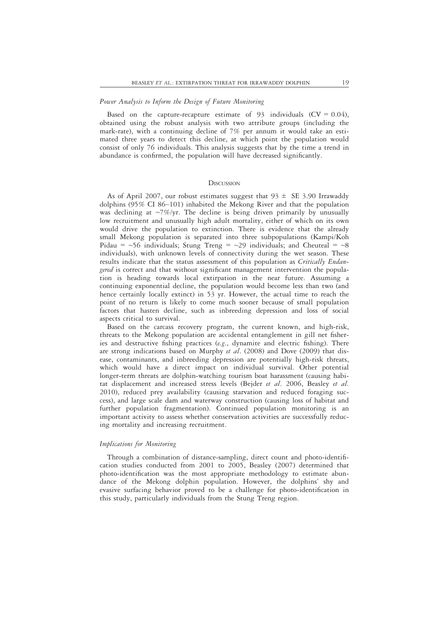## Power Analysis to Inform the Design of Future Monitoring

Based on the capture-recapture estimate of 93 individuals  $(CV = 0.04)$ , obtained using the robust analysis with two attribute groups (including the mark-rate), with a continuing decline of 7% per annum it would take an estimated three years to detect this decline, at which point the population would consist of only 76 individuals. This analysis suggests that by the time a trend in abundance is confirmed, the population will have decreased significantly.

#### **DISCUSSION**

As of April 2007, our robust estimates suggest that  $93 \pm \text{SE} 3.90$  Irrawaddy dolphins (95% CI 86–101) inhabited the Mekong River and that the population was declining at  $\sim$ 7%/yr. The decline is being driven primarily by unusually low recruitment and unusually high adult mortality, either of which on its own would drive the population to extinction. There is evidence that the already small Mekong population is separated into three subpopulations (Kampi/Koh Pidau = ~56 individuals; Stung Treng = ~29 individuals; and Cheuteal = ~8 individuals), with unknown levels of connectivity during the wet season. These results indicate that the status assessment of this population as Critically Endangered is correct and that without significant management intervention the population is heading towards local extirpation in the near future. Assuming a continuing exponential decline, the population would become less than two (and hence certainly locally extinct) in 53 yr. However, the actual time to reach the point of no return is likely to come much sooner because of small population factors that hasten decline, such as inbreeding depression and loss of social aspects critical to survival.

Based on the carcass recovery program, the current known, and high-risk, threats to the Mekong population are accidental entanglement in gill net fisheries and destructive fishing practices (e.g., dynamite and electric fishing). There are strong indications based on Murphy et al. (2008) and Dove (2009) that disease, contaminants, and inbreeding depression are potentially high-risk threats, which would have a direct impact on individual survival. Other potential longer-term threats are dolphin-watching tourism boat harassment (causing habitat displacement and increased stress levels (Bejder et al. 2006, Beasley et al. 2010), reduced prey availability (causing starvation and reduced foraging success), and large scale dam and waterway construction (causing loss of habitat and further population fragmentation). Continued population monitoring is an important activity to assess whether conservation activities are successfully reducing mortality and increasing recruitment.

# Implications for Monitoring

Through a combination of distance-sampling, direct count and photo-identification studies conducted from 2001 to 2005, Beasley (2007) determined that photo-identification was the most appropriate methodology to estimate abundance of the Mekong dolphin population. However, the dolphins' shy and evasive surfacing behavior proved to be a challenge for photo-identification in this study, particularly individuals from the Stung Treng region.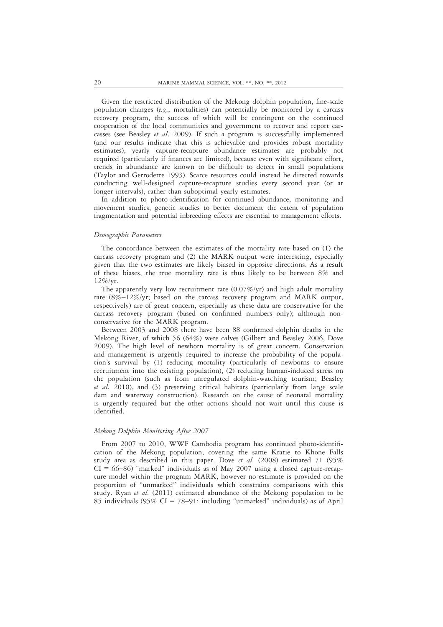Given the restricted distribution of the Mekong dolphin population, fine-scale population changes (e.g., mortalities) can potentially be monitored by a carcass recovery program, the success of which will be contingent on the continued cooperation of the local communities and government to recover and report carcasses (see Beasley et al. 2009). If such a program is successfully implemented (and our results indicate that this is achievable and provides robust mortality estimates), yearly capture-recapture abundance estimates are probably not required (particularly if finances are limited), because even with significant effort, trends in abundance are known to be difficult to detect in small populations (Taylor and Gerrodette 1993). Scarce resources could instead be directed towards conducting well-designed capture-recapture studies every second year (or at longer intervals), rather than suboptimal yearly estimates.

In addition to photo-identification for continued abundance, monitoring and movement studies, genetic studies to better document the extent of population fragmentation and potential inbreeding effects are essential to management efforts.

# Demographic Parameters

The concordance between the estimates of the mortality rate based on (1) the carcass recovery program and (2) the MARK output were interesting, especially given that the two estimates are likely biased in opposite directions. As a result of these biases, the true mortality rate is thus likely to be between 8% and 12%/yr.

The apparently very low recruitment rate  $(0.07\%/yr)$  and high adult mortality rate (8%–12%/yr; based on the carcass recovery program and MARK output, respectively) are of great concern, especially as these data are conservative for the carcass recovery program (based on confirmed numbers only); although nonconservative for the MARK program.

Between 2003 and 2008 there have been 88 confirmed dolphin deaths in the Mekong River, of which 56 (64%) were calves (Gilbert and Beasley 2006, Dove 2009). The high level of newborn mortality is of great concern. Conservation and management is urgently required to increase the probability of the population's survival by (1) reducing mortality (particularly of newborns to ensure recruitment into the existing population), (2) reducing human-induced stress on the population (such as from unregulated dolphin-watching tourism; Beasley et al. 2010), and (3) preserving critical habitats (particularly from large scale dam and waterway construction). Research on the cause of neonatal mortality is urgently required but the other actions should not wait until this cause is identified.

# Mekong Dolphin Monitoring After 2007

From 2007 to 2010, WWF Cambodia program has continued photo-identification of the Mekong population, covering the same Kratie to Khone Falls study area as described in this paper. Dove et al. (2008) estimated 71 (95%  $CI = 66–86$ ) "marked" individuals as of May 2007 using a closed capture-recapture model within the program MARK, however no estimate is provided on the proportion of "unmarked" individuals which constrains comparisons with this study. Ryan et al. (2011) estimated abundance of the Mekong population to be 85 individuals (95% CI = 78–91: including "unmarked" individuals) as of April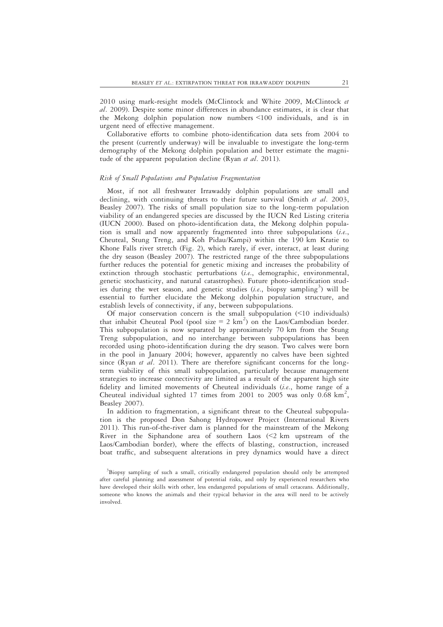2010 using mark-resight models (McClintock and White 2009, McClintock et al. 2009). Despite some minor differences in abundance estimates, it is clear that the Mekong dolphin population now numbers <100 individuals, and is in urgent need of effective management.

Collaborative efforts to combine photo-identification data sets from 2004 to the present (currently underway) will be invaluable to investigate the long-term demography of the Mekong dolphin population and better estimate the magnitude of the apparent population decline (Ryan et al. 2011).

## Risk of Small Populations and Population Fragmentation

Most, if not all freshwater Irrawaddy dolphin populations are small and declining, with continuing threats to their future survival (Smith et al. 2003, Beasley 2007). The risks of small population size to the long-term population viability of an endangered species are discussed by the IUCN Red Listing criteria (IUCN 2000). Based on photo-identification data, the Mekong dolphin population is small and now apparently fragmented into three subpopulations (i.e., Cheuteal, Stung Treng, and Koh Pidau/Kampi) within the 190 km Kratie to Khone Falls river stretch (Fig. 2), which rarely, if ever, interact, at least during the dry season (Beasley 2007). The restricted range of the three subpopulations further reduces the potential for genetic mixing and increases the probability of extinction through stochastic perturbations (i.e., demographic, environmental, genetic stochasticity, and natural catastrophes). Future photo-identification studies during the wet season, and genetic studies (i.e., biopsy sampling<sup>3</sup>) will be essential to further elucidate the Mekong dolphin population structure, and establish levels of connectivity, if any, between subpopulations.

Of major conservation concern is the small subpopulation (<10 individuals) that inhabit Cheuteal Pool (pool size = 2 km<sup>2</sup>) on the Laos/Cambodian border. This subpopulation is now separated by approximately 70 km from the Stung Treng subpopulation, and no interchange between subpopulations has been recorded using photo-identification during the dry season. Two calves were born in the pool in January 2004; however, apparently no calves have been sighted since (Ryan et al. 2011). There are therefore significant concerns for the longterm viability of this small subpopulation, particularly because management strategies to increase connectivity are limited as a result of the apparent high site fidelity and limited movements of Cheuteal individuals (i.e., home range of a Cheuteal individual sighted 17 times from 2001 to 2005 was only  $0.68 \text{ km}^2$ , Beasley 2007).

In addition to fragmentation, a significant threat to the Cheuteal subpopulation is the proposed Don Sahong Hydropower Project (International Rivers 2011). This run-of-the-river dam is planned for the mainstream of the Mekong River in the Siphandone area of southern Laos (<2 km upstream of the Laos/Cambodian border), where the effects of blasting, construction, increased boat traffic, and subsequent alterations in prey dynamics would have a direct

<sup>&</sup>lt;sup>3</sup>Biopsy sampling of such a small, critically endangered population should only be attempted after careful planning and assessment of potential risks, and only by experienced researchers who have developed their skills with other, less endangered populations of small cetaceans. Additionally, someone who knows the animals and their typical behavior in the area will need to be actively involved.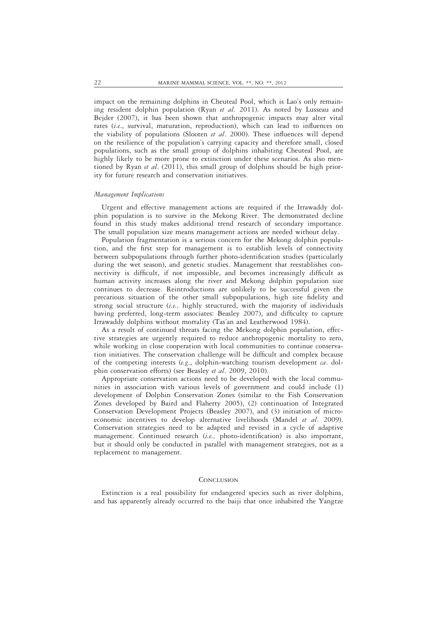impact on the remaining dolphins in Cheuteal Pool, which is Lao's only remaining resident dolphin population (Ryan et al. 2011). As noted by Lusseau and Bejder (2007), it has been shown that anthropogenic impacts may alter vital rates (i.e., survival, maturation, reproduction), which can lead to influences on the viability of populations (Slooten et al. 2000). These influences will depend on the resilience of the population's carrying capacity and therefore small, closed populations, such as the small group of dolphins inhabiting Cheuteal Pool, are highly likely to be more prone to extinction under these scenarios. As also mentioned by Ryan et al. (2011), this small group of dolphins should be high priority for future research and conservation initiatives.

## Management Implications

Urgent and effective management actions are required if the Irrawaddy dolphin population is to survive in the Mekong River. The demonstrated decline found in this study makes additional trend research of secondary importance. The small population size means management actions are needed without delay.

Population fragmentation is a serious concern for the Mekong dolphin population, and the first step for management is to establish levels of connectivity between subpopulations through further photo-identification studies (particularly during the wet season), and genetic studies. Management that reestablishes connectivity is difficult, if not impossible, and becomes increasingly difficult as human activity increases along the river and Mekong dolphin population size continues to decrease. Reintroductions are unlikely to be successful given the precarious situation of the other small subpopulations, high site fidelity and strong social structure  $(i.e.,$  highly structured, with the majority of individuals having preferred, long-term associates: Beasley 2007), and difficulty to capture Irrawaddy dolphins without mortality (Tas'an and Leatherwood 1984).

As a result of continued threats facing the Mekong dolphin population, effective strategies are urgently required to reduce anthropogenic mortality to zero, while working in close cooperation with local communities to continue conservation initiatives. The conservation challenge will be difficult and complex because of the competing interests (e.g., dolphin-watching tourism development  $ca$ . dolphin conservation efforts) (see Beasley et al. 2009, 2010).

Appropriate conservation actions need to be developed with the local communities in association with various levels of government and could include (1) development of Dolphin Conservation Zones (similar to the Fish Conservation Zones developed by Baird and Flaherty 2005), (2) continuation of Integrated Conservation Development Projects (Beasley 2007), and (3) initiation of microeconomic incentives to develop alternative livelihoods (Mandel et al. 2009). Conservation strategies need to be adapted and revised in a cycle of adaptive management. Continued research (i.e., photo-identification) is also important, but it should only be conducted in parallel with management strategies, not as a replacement to management.

## **CONCLUSION**

Extinction is a real possibility for endangered species such as river dolphins, and has apparently already occurred to the baiji that once inhabited the Yangtze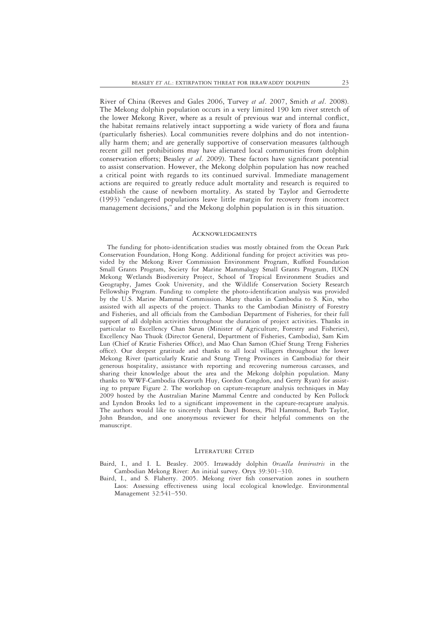River of China (Reeves and Gales 2006, Turvey et al. 2007, Smith et al. 2008). The Mekong dolphin population occurs in a very limited 190 km river stretch of the lower Mekong River, where as a result of previous war and internal conflict, the habitat remains relatively intact supporting a wide variety of flora and fauna (particularly fisheries). Local communities revere dolphins and do not intentionally harm them; and are generally supportive of conservation measures (although recent gill net prohibitions may have alienated local communities from dolphin conservation efforts; Beasley et al. 2009). These factors have significant potential to assist conservation. However, the Mekong dolphin population has now reached a critical point with regards to its continued survival. Immediate management actions are required to greatly reduce adult mortality and research is required to establish the cause of newborn mortality. As stated by Taylor and Gerrodette (1993) "endangered populations leave little margin for recovery from incorrect management decisions," and the Mekong dolphin population is in this situation.

#### **ACKNOWLEDGMENTS**

The funding for photo-identification studies was mostly obtained from the Ocean Park Conservation Foundation, Hong Kong. Additional funding for project activities was provided by the Mekong River Commission Environment Program, Rufford Foundation Small Grants Program, Society for Marine Mammalogy Small Grants Program, IUCN Mekong Wetlands Biodiversity Project, School of Tropical Environment Studies and Geography, James Cook University, and the Wildlife Conservation Society Research Fellowship Program. Funding to complete the photo-identification analysis was provided by the U.S. Marine Mammal Commission. Many thanks in Cambodia to S. Kin, who assisted with all aspects of the project. Thanks to the Cambodian Ministry of Forestry and Fisheries, and all officials from the Cambodian Department of Fisheries, for their full support of all dolphin activities throughout the duration of project activities. Thanks in particular to Excellency Chan Sarun (Minister of Agriculture, Forestry and Fisheries), Excellency Nao Thuok (Director General, Department of Fisheries, Cambodia), Sam Kim Lun (Chief of Kratie Fisheries Office), and Mao Chan Samon (Chief Stung Treng Fisheries office). Our deepest gratitude and thanks to all local villagers throughout the lower Mekong River (particularly Kratie and Stung Treng Provinces in Cambodia) for their generous hospitality, assistance with reporting and recovering numerous carcasses, and sharing their knowledge about the area and the Mekong dolphin population. Many thanks to WWF-Cambodia (Keavuth Huy, Gordon Congdon, and Gerry Ryan) for assisting to prepare Figure 2. The workshop on capture-recapture analysis techniques in May 2009 hosted by the Australian Marine Mammal Centre and conducted by Ken Pollock and Lyndon Brooks led to a significant improvement in the capture-recapture analysis. The authors would like to sincerely thank Daryl Boness, Phil Hammond, Barb Taylor, John Brandon, and one anonymous reviewer for their helpful comments on the manuscript.

#### LITERATURE CITED

- Baird, I., and I. L. Beasley. 2005. Irrawaddy dolphin Orcaella brevirostris in the Cambodian Mekong River: An initial survey. Oryx 39:301–310.
- Baird, I., and S. Flaherty. 2005. Mekong river fish conservation zones in southern Laos: Assessing effectiveness using local ecological knowledge. Environmental Management 32:541–550.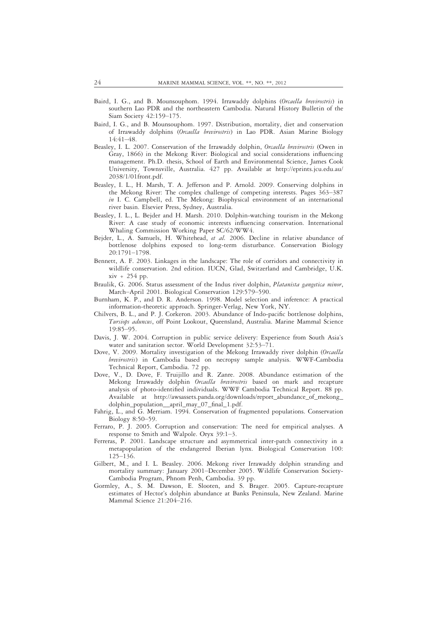- Baird, I. G., and B. Mounsouphom. 1994. Irrawaddy dolphins (Orcaella brevirostris) in southern Lao PDR and the northeastern Cambodia. Natural History Bulletin of the Siam Society 42:159–175.
- Baird, I. G., and B. Mounsouphom. 1997. Distribution, mortality, diet and conservation of Irrawaddy dolphins (Orcaella brevirostris) in Lao PDR. Asian Marine Biology 14:41–48.
- Beasley, I. L. 2007. Conservation of the Irrawaddy dolphin, Orcaella brevirostris (Owen in Gray, 1866) in the Mekong River: Biological and social considerations influencing management. Ph.D. thesis, School of Earth and Environmental Science, James Cook University, Townsville, Australia. 427 pp. Available at http://eprints.jcu.edu.au/ 2038/1/01front.pdf.
- Beasley, I. L., H. Marsh, T. A. Jefferson and P. Arnold. 2009. Conserving dolphins in the Mekong River: The complex challenge of competing interests. Pages 363–387 in I. C. Campbell, ed. The Mekong: Biophysical environment of an international river basin. Elsevier Press, Sydney, Australia.
- Beasley, I. L., L. Bejder and H. Marsh. 2010. Dolphin-watching tourism in the Mekong River: A case study of economic interests influencing conservation. International Whaling Commission Working Paper SC/62/WW4.
- Bejder, L., A. Samuels, H. Whitehead, et al. 2006. Decline in relative abundance of bottlenose dolphins exposed to long-term disturbance. Conservation Biology 20:1791–1798.
- Bennett, A. F. 2003. Linkages in the landscape: The role of corridors and connectivity in wildlife conservation. 2nd edition. IUCN, Glad, Switzerland and Cambridge, U.K. xiv + 254 pp.
- Braulik, G. 2006. Status assessment of the Indus river dolphin, *Platanista gangetica minor*, March–April 2001. Biological Conservation 129:579–590.
- Burnham, K. P., and D. R. Anderson. 1998. Model selection and inference: A practical information-theoretic approach. Springer-Verlag, New York, NY.
- Chilvers, B. L., and P. J. Corkeron. 2003. Abundance of Indo-pacific bottlenose dolphins, Tursiops aduncus, off Point Lookout, Queensland, Australia. Marine Mammal Science 19:85–95.
- Davis, J. W. 2004. Corruption in public service delivery: Experience from South Asia's water and sanitation sector. World Development 32:53-71.
- Dove, V. 2009. Mortality investigation of the Mekong Irrawaddy river dolphin (Orcaella brevirostris) in Cambodia based on necropsy sample analysis. WWF-Cambodia Technical Report, Cambodia. 72 pp.
- Dove, V., D. Dove, F. Truijillo and R. Zanre. 2008. Abundance estimation of the Mekong Irrawaddy dolphin Orcaella brevirostris based on mark and recapture analysis of photo-identified individuals. WWF Cambodia Technical Report. 88 pp. Available at http://awsassets.panda.org/downloads/report\_abundance\_of\_mekong\_ dolphin\_population\_\_april\_may\_07\_final\_1.pdf.
- Fahrig, L., and G. Merriam. 1994. Conservation of fragmented populations. Conservation Biology 8:50–59.
- Ferraro, P. J. 2005. Corruption and conservation: The need for empirical analyses. A response to Smith and Walpole. Oryx 39:1–3.
- Ferreras, P. 2001. Landscape structure and asymmetrical inter-patch connectivity in a metapopulation of the endangered Iberian lynx. Biological Conservation 100: 125–136.
- Gilbert, M., and I. L. Beasley. 2006. Mekong river Irrawaddy dolphin stranding and mortality summary: January 2001–December 2005. Wildlife Conservation Society-Cambodia Program, Phnom Penh, Cambodia. 39 pp.
- Gormley, A., S. M. Dawson, E. Slooten, and S. Brager. 2005. Capture-recapture estimates of Hector's dolphin abundance at Banks Peninsula, New Zealand. Marine Mammal Science 21:204–216.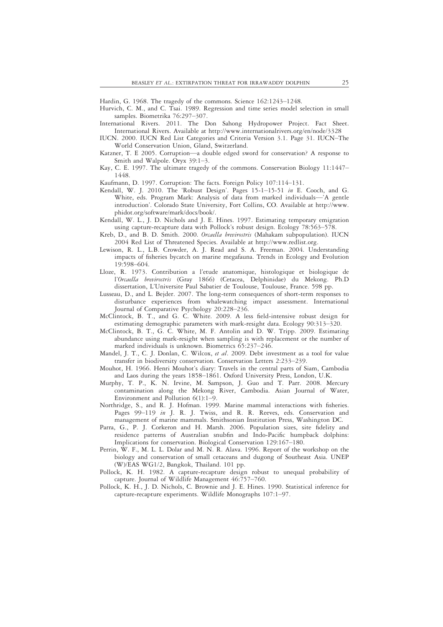Hardin, G. 1968. The tragedy of the commons. Science 162:1243–1248.

- Hurvich, C. M., and C. Tsai. 1989. Regression and time series model selection in small samples. Biometrika 76:297–307.
- International Rivers. 2011. The Don Sahong Hydropower Project. Fact Sheet. International Rivers. Available at http://www.internationalrivers.org/en/node/3328
- IUCN. 2000. IUCN Red List Categories and Criteria Version 3.1. Page 31. IUCN–The World Conservation Union, Gland, Switzerland.
- Katzner, T. E 2005. Corruption—a double edged sword for conservation? A response to Smith and Walpole. Oryx 39:1–3.
- Kay, C. E. 1997. The ultimate tragedy of the commons. Conservation Biology 11:1447– 1448.

Kaufmann, D. 1997. Corruption: The facts. Foreign Policy 107:114–131.

- Kendall, W. J. 2010. The 'Robust Design'. Pages 15-1–15-51 in E. Cooch, and G. White, eds. Program Mark: Analysis of data from marked individuals—'A gentle introduction'. Colorado State University, Fort Collins, CO. Available at http://www. phidot.org/software/mark/docs/book/.
- Kendall, W. L., J. D. Nichols and J. E. Hines. 1997. Estimating temporary emigration using capture-recapture data with Pollock's robust design. Ecology 78:563–578.
- Kreb, D., and B. D. Smith. 2000. Orcaella brevirostris (Mahakam subpopulation). IUCN 2004 Red List of Threatened Species. Available at http://www.redlist.org.
- Lewison, R. L., L.B. Crowder, A. J. Read and S. A. Freeman. 2004. Understanding impacts of fisheries bycatch on marine megafauna. Trends in Ecology and Evolution 19:598–604.
- Lloze, R. 1973. Contribution a l'etude anatomique, histologique et biologique de l'Orcaella brevirostris (Gray 1866) (Cetacea, Delphinidae) du Mekong. Ph.D dissertation, L'Universite Paul Sabatier de Toulouse, Toulouse, France. 598 pp.
- Lusseau, D., and L. Bejder. 2007. The long-term consequences of short-term responses to disturbance experiences from whalewatching impact assessment. International Journal of Comparative Psychology 20:228–236.
- McClintock, B. T., and G. C. White. 2009. A less field-intensive robust design for estimating demographic parameters with mark-resight data. Ecology 90:313–320.
- McClintock, B. T., G. C. White, M. F. Antolin and D. W. Tripp. 2009. Estimating abundance using mark-resight when sampling is with replacement or the number of marked individuals is unknown. Biometrics 65:237–246.
- Mandel, J. T., C. J. Donlan, C. Wilcox, et al. 2009. Debt investment as a tool for value transfer in biodiversity conservation. Conservation Letters 2:233–239.
- Mouhot, H. 1966. Henri Mouhot's diary: Travels in the central parts of Siam, Cambodia and Laos during the years 1858–1861. Oxford University Press, London, U.K.
- Murphy, T. P., K. N. Irvine, M. Sampson, J. Guo and T. Parr. 2008. Mercury contamination along the Mekong River, Cambodia. Asian Journal of Water, Environment and Pollution 6(1):1–9.
- Northridge, S., and R. J. Hofman. 1999. Marine mammal interactions with fisheries. Pages 99–119 in J. R. J. Twiss, and R. R. Reeves, eds. Conservation and management of marine mammals. Smithsonian Institution Press, Washington DC.
- Parra, G., P. J. Corkeron and H. Marsh. 2006. Population sizes, site fidelity and residence patterns of Australian snubfin and Indo-Pacific humpback dolphins: Implications for conservation. Biological Conservation 129:167–180.
- Perrin, W. F., M. L. L. Dolar and M. N. R. Alava. 1996. Report of the workshop on the biology and conservation of small cetaceans and dugong of Southeast Asia. UNEP (W)/EAS WG1/2, Bangkok, Thailand. 101 pp.
- Pollock, K. H. 1982. A capture-recapture design robust to unequal probability of capture. Journal of Wildlife Management 46:757–760.
- Pollock, K. H., J. D. Nichols, C. Brownie and J. E. Hines. 1990. Statistical inference for capture-recapture experiments. Wildlife Monographs 107:1–97.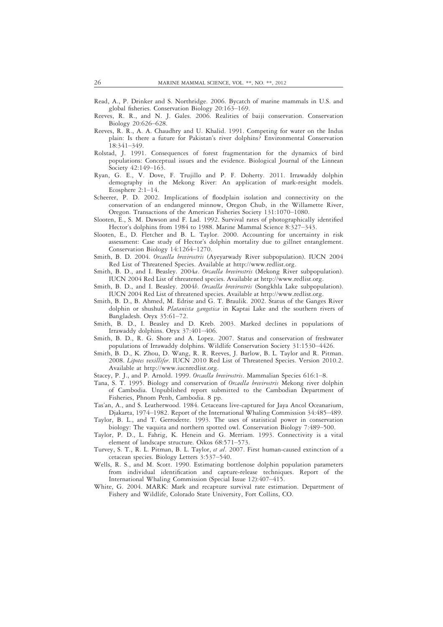Read, A., P. Drinker and S. Northridge. 2006. Bycatch of marine mammals in U.S. and global fisheries. Conservation Biology 20:163–169.

Reeves, R. R., and N. J. Gales. 2006. Realities of baiji conservation. Conservation Biology 20:626–628.

- Reeves, R. R., A. A. Chaudhry and U. Khalid. 1991. Competing for water on the Indus plain: Is there a future for Pakistan's river dolphins? Environmental Conservation 18:341–349.
- Rolstad, J. 1991. Consequences of forest fragmentation for the dynamics of bird populations: Conceptual issues and the evidence. Biological Journal of the Linnean Society 42:149–163.
- Ryan, G. E., V. Dove, F. Trujillo and P. F. Doherty. 2011. Irrawaddy dolphin demography in the Mekong River: An application of mark-resight models. Ecosphere 2:1–14.
- Scheerer, P. D. 2002. Implications of floodplain isolation and connectivity on the conservation of an endangered minnow, Oregon Chub, in the Willamette River, Oregon. Transactions of the American Fisheries Society 131:1070–1080.
- Slooten, E., S. M. Dawson and F. Lad. 1992. Survival rates of photographically identified Hector's dolphins from 1984 to 1988. Marine Mammal Science 8:327–343.
- Slooten, E., D. Fletcher and B. L. Taylor. 2000. Accounting for uncertainty in risk assessment: Case study of Hector's dolphin mortality due to gillnet entanglement. Conservation Biology 14:1264–1270.
- Smith, B. D. 2004. Orcaella brevirostris (Ayeyarwady River subpopulation). IUCN 2004 Red List of Threatened Species. Available at http://www.redlist.org.
- Smith, B. D., and I. Beasley. 2004a. Orcaella brevirostris (Mekong River subpopulation). IUCN 2004 Red List of threatened species. Available at http://www.redlist.org.
- Smith, B. D., and I. Beasley. 2004b. Orcaella brevirostris (Songkhla Lake subpopulation). IUCN 2004 Red List of threatened species. Available at http://www.redlist.org.
- Smith, B. D., B. Ahmed, M. Edrise and G. T. Braulik. 2002. Status of the Ganges River dolphin or shushuk Platanista gangetica in Kaptai Lake and the southern rivers of Bangladesh. Oryx 35:61–72.
- Smith, B. D., I. Beasley and D. Kreb. 2003. Marked declines in populations of Irrawaddy dolphins. Oryx 37:401–406.
- Smith, B. D., R. G. Shore and A. Lopez. 2007. Status and conservation of freshwater populations of Irrawaddy dolphins. Wildlife Conservation Society 31:1530–4426.
- Smith, B. D., K. Zhou, D. Wang, R. R. Reeves, J. Barlow, B. L. Taylor and R. Pitman. 2008. Lipotes vexillifer. IUCN 2010 Red List of Threatened Species. Version 2010.2. Available at http://www.iucnredlist.org.
- Stacey, P. J., and P. Arnold. 1999. Orcaella brevirostris. Mammalian Species 616:1–8.
- Tana, S. T. 1995. Biology and conservation of Orcaella brevirostris Mekong river dolphin of Cambodia. Unpublished report submitted to the Cambodian Department of Fisheries, Phnom Penh, Cambodia. 8 pp.
- Tas'an, A., and S. Leatherwood. 1984. Cetaceans live-captured for Jaya Ancol Oceanarium, Djakarta, 1974–1982. Report of the International Whaling Commission 34:485–489.
- Taylor, B. L., and T. Gerrodette. 1993. The uses of statistical power in conservation biology: The vaquita and northern spotted owl. Conservation Biology 7:489–500.

Taylor, P. D., L. Fahrig, K. Henein and G. Merriam. 1993. Connectivity is a vital element of landscape structure. Oikos 68:571–573.

- Turvey, S. T., R. L. Pitman, B. L. Taylor, et al. 2007. First human-caused extinction of a cetacean species. Biology Letters 3:537–540.
- Wells, R. S., and M. Scott. 1990. Estimating bottlenose dolphin population parameters from individual identification and capture-release techniques. Report of the International Whaling Commission (Special Issue 12):407–415.
- White, G. 2004. MARK: Mark and recapture survival rate estimation. Department of Fishery and Wildlife, Colorado State University, Fort Collins, CO.